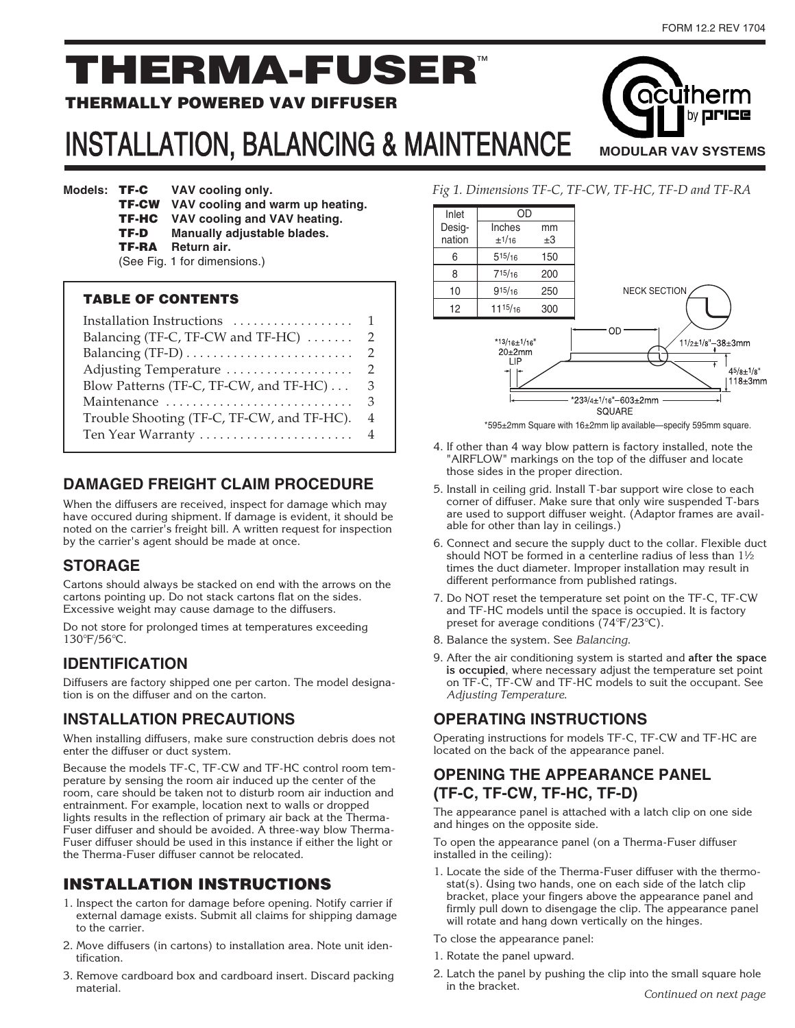by **price** 

**MODULAR VAV SYSTEMS**

acūtherm

# THERMA-FUSER™

#### THERMALLY POWERED VAV DIFFUSER

## INSTALLATION, BALANCING & MAINTENANCE

**Models: TF-C** VAV cooling only. TF-CW **VAV cooling and warm up heating.** TF-HC **VAV cooling and VAV heating.** TF-D **Manually adjustable blades.** TF-RA **Return air.** (See Fig. 1 for dimensions.)

#### TABLE OF CONTENTS

| Installation Instructions $\ldots, \ldots, \ldots, \ldots$ |   |
|------------------------------------------------------------|---|
| Balancing (TF-C, TF-CW and TF-HC)                          | 2 |
|                                                            | 2 |
| Adjusting Temperature                                      | 2 |
| Blow Patterns (TF-C, TF-CW, and TF-HC)                     | 3 |
| Maintenance                                                | 3 |
| Trouble Shooting (TF-C, TF-CW, and TF-HC).                 | 4 |
|                                                            |   |

#### **DAMAGED FREIGHT CLAIM PROCEDURE**

When the diffusers are received, inspect for damage which may have occured during shipment. If damage is evident, it should be noted on the carrier's freight bill. A written request for inspection by the carrier's agent should be made at once.

#### **STORAGE**

Cartons should always be stacked on end with the arrows on the cartons pointing up. Do not stack cartons flat on the sides. Excessive weight may cause damage to the diffusers.

Do not store for prolonged times at temperatures exceeding 130°F/56°C.

#### **IDENTIFICATION**

Diffusers are factory shipped one per carton. The model designation is on the diffuser and on the carton.

#### **INSTALLATION PRECAUTIONS**

When installing diffusers, make sure construction debris does not enter the diffuser or duct system.

Because the models TF-C, TF-CW and TF-HC control room temperature by sensing the room air induced up the center of the room, care should be taken not to disturb room air induction and entrainment. For example, location next to walls or dropped lights results in the reflection of primary air back at the Therma-Fuser diffuser and should be avoided. A three-way blow Therma-Fuser diffuser should be used in this instance if either the light or the Therma-Fuser diffuser cannot be relocated.

#### INSTALLATION INSTRUCTIONS

- 1. Inspect the carton for damage before opening. Notify carrier if external damage exists. Submit all claims for shipping damage to the carrier.
- 2. Move diffusers (in cartons) to installation area. Note unit identification.
- 3. Remove cardboard box and cardboard insert. Discard packing material.



\*595±2mm Square with 16±2mm lip available—specify 595mm square.

- 4. If other than 4 way blow pattern is factory installed, note the "AIRFLOW" markings on the top of the diffuser and locate those sides in the proper direction.
- 5. Install in ceiling grid. Install T-bar support wire close to each corner of diffuser. Make sure that only wire suspended T-bars are used to support diffuser weight. (Adaptor frames are available for other than lay in ceilings.)
- 6. Connect and secure the supply duct to the collar. Flexible duct should NOT be formed in a centerline radius of less than 1½ times the duct diameter. Improper installation may result in different performance from published ratings.
- 7. Do NOT reset the temperature set point on the TF-C, TF-CW and TF-HC models until the space is occupied. It is factory preset for average conditions (74°F/23°C).
- 8. Balance the system. See Balancing.
- 9. After the air conditioning system is started and **after the space is occupied**, where necessary adjust the temperature set point on TF-C, TF-CW and TF-HC models to suit the occupant. See Adjusting Temperature.

#### **OPERATING INSTRUCTIONS**

Operating instructions for models TF-C, TF-CW and TF-HC are located on the back of the appearance panel.

#### **OPENING THE APPEARANCE PANEL (TF-C, TF-CW, TF-HC, TF-D)**

The appearance panel is attached with a latch clip on one side and hinges on the opposite side.

To open the appearance panel (on a Therma-Fuser diffuser installed in the ceiling):

- 1. Locate the side of the Therma-Fuser diffuser with the thermostat(s). Using two hands, one on each side of the latch clip bracket, place your fingers above the appearance panel and firmly pull down to disengage the clip. The appearance panel will rotate and hang down vertically on the hinges.
- To close the appearance panel:
- 1. Rotate the panel upward.
- 2. Latch the panel by pushing the clip into the small square hole in the bracket.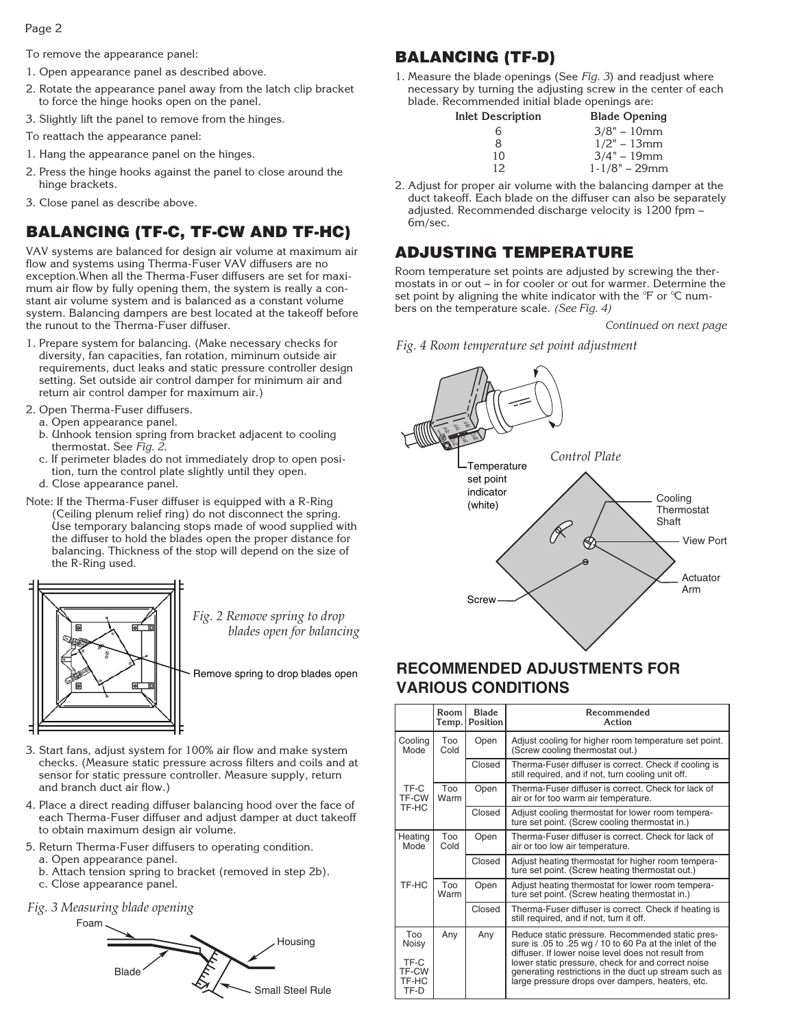To remove the appearance panel:

- 1. Open appearance panel as described above.
- 2. Rotate the appearance panel away from the latch clip bracket to force the hinge hooks open on the panel.
- 3. Slightly lift the panel to remove from the hinges.

To reattach the appearance panel:

- 1. Hang the appearance panel on the hinges.
- 2. Press the hinge hooks against the panel to close around the hinge brackets.
- 3. Close panel as describe above.

### BALANCING (TF-C, TF-CW AND TF-HC)

VAV systems are balanced for design air volume at maximum air flow and systems using Therma-Fuser VAV diffusers are no exception.When all the Therma-Fuser diffusers are set for maximum air flow by fully opening them, the system is really a constant air volume system and is balanced as a constant volume system. Balancing dampers are best located at the takeoff before the runout to the Therma-Fuser diffuser.

- 1. Prepare system for balancing. (Make necessary checks for diversity, fan capacities, fan rotation, miminum outside air requirements, duct leaks and static pressure controller design setting. Set outside air control damper for minimum air and return air control damper for maximum air.)
- 2. Open Therma-Fuser diffusers.
	- a. Open appearance panel.
	- b. Unhook tension spring from bracket adjacent to cooling thermostat. See Fig. 2.
	- c. If perimeter blades do not immediately drop to open position, turn the control plate slightly until they open.
	- d. Close appearance panel.
- Note: If the Therma-Fuser diffuser is equipped with a R-Ring (Ceiling plenum relief ring) do not disconnect the spring. Use temporary balancing stops made of wood supplied with the diffuser to hold the blades open the proper distance for balancing. Thickness of the stop will depend on the size of the R-Ring used.



*Fig. 2 Remove spring to drop blades open for balancing*

Remove spring to drop blades open

- 3. Start fans, adjust system for 100% air flow and make system checks. (Measure static pressure across filters and coils and at sensor for static pressure controller. Measure supply, return and branch duct air flow.)
- 4. Place a direct reading diffuser balancing hood over the face of each Therma-Fuser diffuser and adjust damper at duct takeoff to obtain maximum design air volume.
- 5. Return Therma-Fuser diffusers to operating condition.
	- a. Open appearance panel.
	- b. Attach tension spring to bracket (removed in step 2b).
	- c. Close appearance panel.
- *Fig. 3 Measuring blade opening*

Foam



### BALANCING (TF-D)

1. Measure the blade openings (See Fig. 3) and readjust where necessary by turning the adjusting screw in the center of each blade. Recommended initial blade openings are:

| Inlet Description | <b>Blade Opening</b> |
|-------------------|----------------------|
| 6                 | $3/8" - 10mm$        |
| 8                 | $1/2" - 13mm$        |
| 10                | $3/4" - 19mm$        |
| 12                | $1 - 1/8" - 29mm$    |
|                   |                      |

2. Adjust for proper air volume with the balancing damper at the duct takeoff. Each blade on the diffuser can also be separately adjusted. Recommended discharge velocity is 1200 fpm -6m/sec.

#### ADJUSTING TEMPERATURE

Room temperature set points are adjusted by screwing the thermostats in or out – in for cooler or out for warmer. Determine the set point by aligning the white indicator with the °F or °C numbers on the temperature scale. (See Fig. 4)

Continued on next page





#### **RECOMMENDED ADJUSTMENTS FOR VARIOUS CONDITIONS**

|                                | Room<br>Temp. | <b>Blade</b><br>Position | Recommended<br>Action                                                                                                                                                                                                  |  |  |  |  |  |
|--------------------------------|---------------|--------------------------|------------------------------------------------------------------------------------------------------------------------------------------------------------------------------------------------------------------------|--|--|--|--|--|
| Cooling<br>Mode                | Too<br>Cold   | Open                     | Adjust cooling for higher room temperature set point.<br>(Screw cooling thermostat out.)                                                                                                                               |  |  |  |  |  |
|                                |               | Closed                   | Therma-Fuser diffuser is correct. Check if cooling is<br>still required, and if not, turn cooling unit off.                                                                                                            |  |  |  |  |  |
| TF-C<br>TF-CW                  | Too<br>Warm   | Open                     | Therma-Fuser diffuser is correct. Check for lack of<br>air or for too warm air temperature.                                                                                                                            |  |  |  |  |  |
| TF-HC                          |               | Closed                   | Adjust cooling thermostat for lower room tempera-<br>ture set point. (Screw cooling thermostat in.)                                                                                                                    |  |  |  |  |  |
| Heating<br>Mode                | Too<br>Cold   | Open                     | Therma-Fuser diffuser is correct. Check for lack of<br>air or too low air temperature.                                                                                                                                 |  |  |  |  |  |
|                                |               | Closed                   | Adjust heating thermostat for higher room tempera-<br>ture set point. (Screw heating thermostat out.)                                                                                                                  |  |  |  |  |  |
| TF-HC                          | Too<br>Warm   | Open                     | Adjust heating thermostat for lower room tempera-<br>ture set point. (Screw heating thermostat in.)                                                                                                                    |  |  |  |  |  |
|                                |               | Closed                   | Therma-Fuser diffuser is correct. Check if heating is<br>still required, and if not, turn it off.                                                                                                                      |  |  |  |  |  |
| Too<br>Noisy                   | Any           | Any                      | Reduce static pressure. Recommended static pres-<br>sure is .05 to .25 wg / 10 to 60 Pa at the inlet of the                                                                                                            |  |  |  |  |  |
| TF-C<br>TF-CW<br>TF-HC<br>TF-D |               |                          | diffuser. If lower noise level does not result from<br>lower static pressure, check for and correct noise<br>generating restrictions in the duct up stream such as<br>large pressure drops over dampers, heaters, etc. |  |  |  |  |  |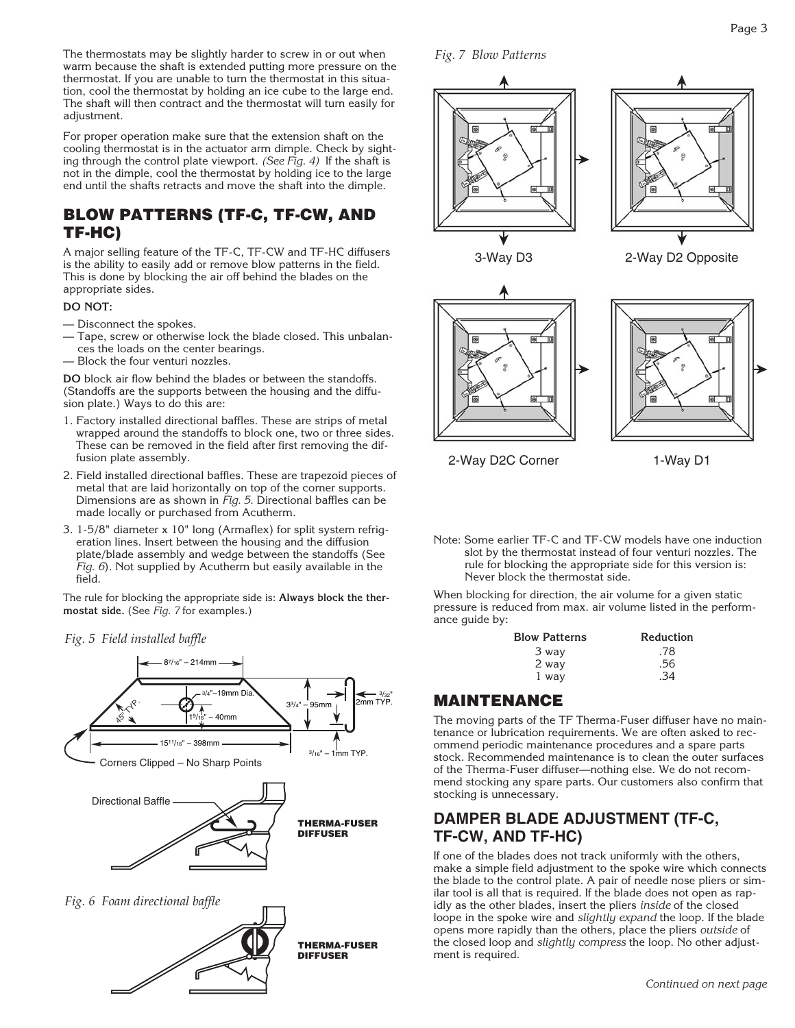The thermostats may be slightly harder to screw in or out when warm because the shaft is extended putting more pressure on the thermostat. If you are unable to turn the thermostat in this situation, cool the thermostat by holding an ice cube to the large end. The shaft will then contract and the thermostat will turn easily for adjustment.

For proper operation make sure that the extension shaft on the cooling thermostat is in the actuator arm dimple. Check by sighting through the control plate viewport. (See Fig. 4) If the shaft is not in the dimple, cool the thermostat by holding ice to the large end until the shafts retracts and move the shaft into the dimple.

#### BLOW PATTERNS (TF-C, TF-CW, AND TF-HC)

A major selling feature of the TF-C, TF-CW and TF-HC diffusers is the ability to easily add or remove blow patterns in the field. This is done by blocking the air off behind the blades on the appropriate sides.

#### **DO NOT:**

- Disconnect the spokes.
- Tape, screw or otherwise lock the blade closed. This unbalances the loads on the center bearings.
- Block the four venturi nozzles.

**DO** block air flow behind the blades or between the standoffs. (Standoffs are the supports between the housing and the diffusion plate.) Ways to do this are:

- 1. Factory installed directional baffles. These are strips of metal wrapped around the standoffs to block one, two or three sides. These can be removed in the field after first removing the diffusion plate assembly.
- 2. Field installed directional baffles. These are trapezoid pieces of metal that are laid horizontally on top of the corner supports. Dimensions are as shown in Fig. 5. Directional baffles can be made locally or purchased from Acutherm.
- 3. 1-5/8" diameter x 10" long (Armaflex) for split system refrigeration lines. Insert between the housing and the diffusion plate/blade assembly and wedge between the standoffs (See Fig. 6). Not supplied by Acutherm but easily available in the field.

The rule for blocking the appropriate side is: **Always block the thermostat side.** (See Fig. 7 for examples.)





*Fig. 7 Blow Patterns*



2-Way D2C Corner 1-Way D1

Note: Some earlier TF-C and TF-CW models have one induction slot by the thermostat instead of four venturi nozzles. The rule for blocking the appropriate side for this version is: Never block the thermostat side.

When blocking for direction, the air volume for a given static pressure is reduced from max. air volume listed in the performance guide by:

| <b>Blow Patterns</b> | Reduction  |  |  |  |
|----------------------|------------|--|--|--|
| 3 way                | .78        |  |  |  |
| 2 way                | .56        |  |  |  |
| 1 way                | $\cdot$ 34 |  |  |  |
|                      |            |  |  |  |

#### MAINTENANCE

The moving parts of the TF Therma-Fuser diffuser have no maintenance or lubrication requirements. We are often asked to recommend periodic maintenance procedures and a spare parts stock. Recommended maintenance is to clean the outer surfaces of the Therma-Fuser diffuser—nothing else. We do not recommend stocking any spare parts. Our customers also confirm that stocking is unnecessary.

#### **DAMPER BLADE ADJUSTMENT (TF-C, TF-CW, AND TF-HC)**

If one of the blades does not track uniformly with the others, make a simple field adjustment to the spoke wire which connects the blade to the control plate. A pair of needle nose pliers or similar tool is all that is required. If the blade does not open as rapidly as the other blades, insert the pliers inside of the closed loope in the spoke wire and slightly expand the loop. If the blade opens more rapidly than the others, place the pliers outside of the closed loop and slightly compress the loop. No other adjustment is required.